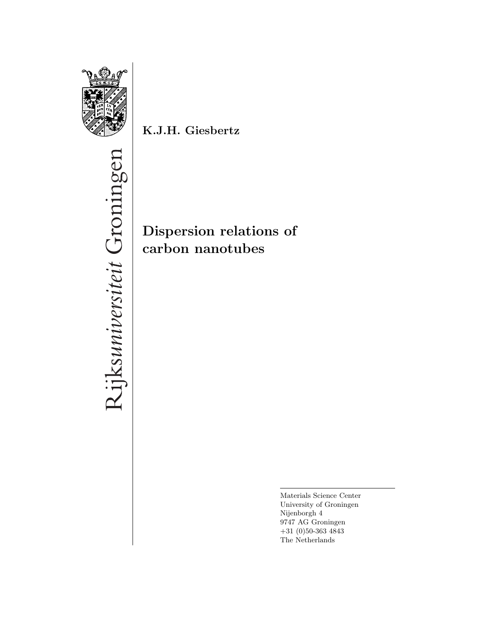

**K.J.H. Giesbertz**

**Dispersion relations of carbon nanotubes**

> Materials Science Center University of Groningen Nijenborgh 4 9747 AG Groningen +31 (0)50-363 4843 The Netherlands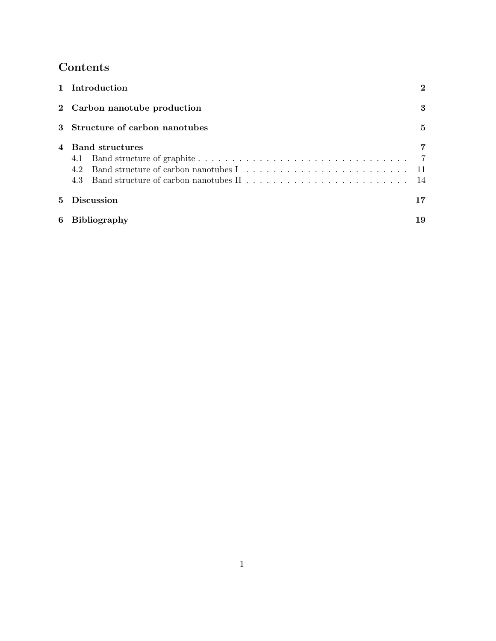# **Contents**

|   | 1 Introduction                         | $\bf{2}$ |
|---|----------------------------------------|----------|
|   | 2 Carbon nanotube production           | 3        |
|   | 3 Structure of carbon nanotubes        | 5        |
|   | 4 Band structures<br>4.1<br>4.2<br>4.3 |          |
| 5 | <b>Discussion</b>                      | 17       |
| 6 | <b>Bibliography</b>                    | 19       |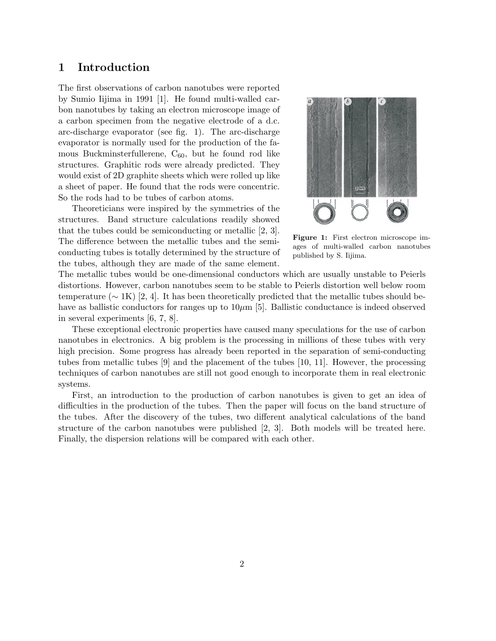### **1 Introduction**

The first observations of carbon nanotubes were reported by Sumio Iijima in 1991 [1]. He found multi-walled carbon nanotubes by taking an electron microscope image of a carbon specimen from the negative electrode of a d.c. arc-discharge evaporator (see fig. 1). The arc-discharge evaporator is normally used for the production of the famous Buckminsterfullerene,  $C_{60}$ , but he found rod like structures. Graphitic rods were already predicted. They would exist of 2D graphite sheets which were rolled up like a sheet of paper. He found that the rods were concentric. So the rods had to be tubes of carbon atoms.

Theoreticians were inspired by the symmetries of the structures. Band structure calculations readily showed that the tubes could be semiconducting or metallic [2, 3]. The difference between the metallic tubes and the semiconducting tubes is totally determined by the structure of the tubes, although they are made of the same element.



**Figure 1:** First electron microscope images of multi-walled carbon nanotubes published by S. Iijima.

The metallic tubes would be one-dimensional conductors which are usually unstable to Peierls distortions. However, carbon nanotubes seem to be stable to Peierls distortion well below room temperature ( $\sim$  1K) [2, 4]. It has been theoretically predicted that the metallic tubes should behave as ballistic conductors for ranges up to  $10\mu$ m [5]. Ballistic conductance is indeed observed in several experiments [6, 7, 8].

These exceptional electronic properties have caused many speculations for the use of carbon nanotubes in electronics. A big problem is the processing in millions of these tubes with very high precision. Some progress has already been reported in the separation of semi-conducting tubes from metallic tubes [9] and the placement of the tubes [10, 11]. However, the processing techniques of carbon nanotubes are still not good enough to incorporate them in real electronic systems.

First, an introduction to the production of carbon nanotubes is given to get an idea of difficulties in the production of the tubes. Then the paper will focus on the band structure of the tubes. After the discovery of the tubes, two different analytical calculations of the band structure of the carbon nanotubes were published [2, 3]. Both models will be treated here. Finally, the dispersion relations will be compared with each other.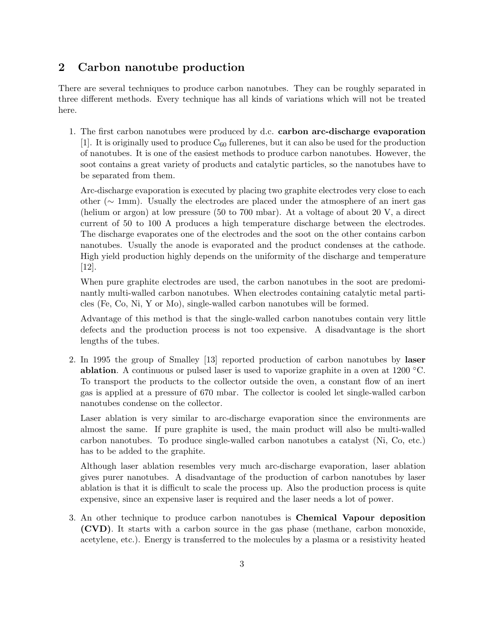# **2 Carbon nanotube production**

There are several techniques to produce carbon nanotubes. They can be roughly separated in three different methods. Every technique has all kinds of variations which will not be treated here.

1. The first carbon nanotubes were produced by d.c. **carbon arc-discharge evaporation** [1]. It is originally used to produce  $C_{60}$  fullerenes, but it can also be used for the production of nanotubes. It is one of the easiest methods to produce carbon nanotubes. However, the soot contains a great variety of products and catalytic particles, so the nanotubes have to be separated from them.

Arc-discharge evaporation is executed by placing two graphite electrodes very close to each other (∼ 1mm). Usually the electrodes are placed under the atmosphere of an inert gas (helium or argon) at low pressure (50 to 700 mbar). At a voltage of about 20 V, a direct current of 50 to 100 A produces a high temperature discharge between the electrodes. The discharge evaporates one of the electrodes and the soot on the other contains carbon nanotubes. Usually the anode is evaporated and the product condenses at the cathode. High yield production highly depends on the uniformity of the discharge and temperature [12].

When pure graphite electrodes are used, the carbon nanotubes in the soot are predominantly multi-walled carbon nanotubes. When electrodes containing catalytic metal particles (Fe, Co, Ni, Y or Mo), single-walled carbon nanotubes will be formed.

Advantage of this method is that the single-walled carbon nanotubes contain very little defects and the production process is not too expensive. A disadvantage is the short lengths of the tubes.

2. In 1995 the group of Smalley [13] reported production of carbon nanotubes by **laser ablation**. A continuous or pulsed laser is used to vaporize graphite in a oven at 1200 ◦C. To transport the products to the collector outside the oven, a constant flow of an inert gas is applied at a pressure of 670 mbar. The collector is cooled let single-walled carbon nanotubes condense on the collector.

Laser ablation is very similar to arc-discharge evaporation since the environments are almost the same. If pure graphite is used, the main product will also be multi-walled carbon nanotubes. To produce single-walled carbon nanotubes a catalyst (Ni, Co, etc.) has to be added to the graphite.

Although laser ablation resembles very much arc-discharge evaporation, laser ablation gives purer nanotubes. A disadvantage of the production of carbon nanotubes by laser ablation is that it is difficult to scale the process up. Also the production process is quite expensive, since an expensive laser is required and the laser needs a lot of power.

3. An other technique to produce carbon nanotubes is **Chemical Vapour deposition (CVD)**. It starts with a carbon source in the gas phase (methane, carbon monoxide, acetylene, etc.). Energy is transferred to the molecules by a plasma or a resistivity heated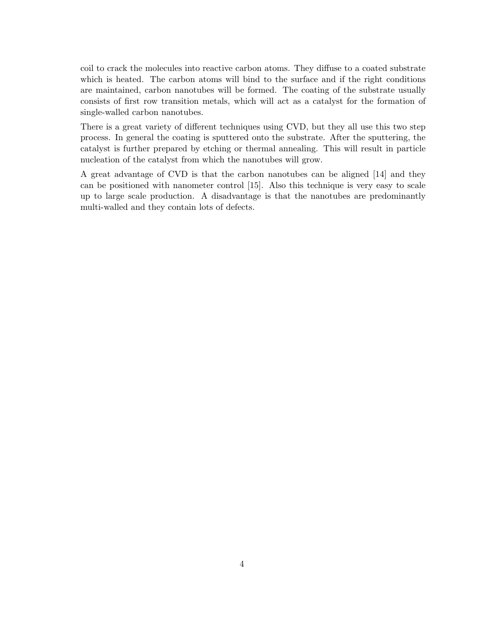coil to crack the molecules into reactive carbon atoms. They diffuse to a coated substrate which is heated. The carbon atoms will bind to the surface and if the right conditions are maintained, carbon nanotubes will be formed. The coating of the substrate usually consists of first row transition metals, which will act as a catalyst for the formation of single-walled carbon nanotubes.

There is a great variety of different techniques using CVD, but they all use this two step process. In general the coating is sputtered onto the substrate. After the sputtering, the catalyst is further prepared by etching or thermal annealing. This will result in particle nucleation of the catalyst from which the nanotubes will grow.

A great advantage of CVD is that the carbon nanotubes can be aligned [14] and they can be positioned with nanometer control [15]. Also this technique is very easy to scale up to large scale production. A disadvantage is that the nanotubes are predominantly multi-walled and they contain lots of defects.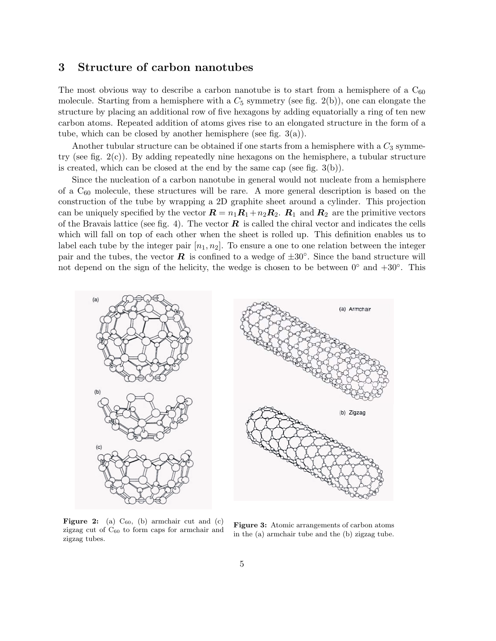### **3 Structure of carbon nanotubes**

The most obvious way to describe a carbon nanotube is to start from a hemisphere of a  $C_{60}$ molecule. Starting from a hemisphere with a  $C_5$  symmetry (see fig. 2(b)), one can elongate the structure by placing an additional row of five hexagons by adding equatorially a ring of ten new carbon atoms. Repeated addition of atoms gives rise to an elongated structure in the form of a tube, which can be closed by another hemisphere (see fig.  $3(a)$ ).

Another tubular structure can be obtained if one starts from a hemisphere with a  $C_3$  symmetry (see fig.  $2(c)$ ). By adding repeatedly nine hexagons on the hemisphere, a tubular structure is created, which can be closed at the end by the same cap (see fig. 3(b)).

Since the nucleation of a carbon nanotube in general would not nucleate from a hemisphere of a  $C_{60}$  molecule, these structures will be rare. A more general description is based on the construction of the tube by wrapping a 2D graphite sheet around a cylinder. This projection can be uniquely specified by the vector  $\mathbf{R} = n_1 \mathbf{R}_1 + n_2 \mathbf{R}_2$ .  $\mathbf{R}_1$  and  $\mathbf{R}_2$  are the primitive vectors of the Bravais lattice (see fig. 4). The vector  $\boldsymbol{R}$  is called the chiral vector and indicates the cells which will fall on top of each other when the sheet is rolled up. This definition enables us to label each tube by the integer pair  $[n_1, n_2]$ . To ensure a one to one relation between the integer pair and the tubes, the vector *R* is confined to a wedge of  $\pm 30^\circ$ . Since the band structure will not depend on the sign of the helicity, the wedge is chosen to be between  $0°$  and  $+30°$ . This



**Figure 2:** (a)  $C_{60}$ , (b) armchair cut and (c) zigzag cut of  $C_{60}$  to form caps for armchair and zigzag tubes.

**Figure 3:** Atomic arrangements of carbon atoms in the (a) armchair tube and the (b) zigzag tube.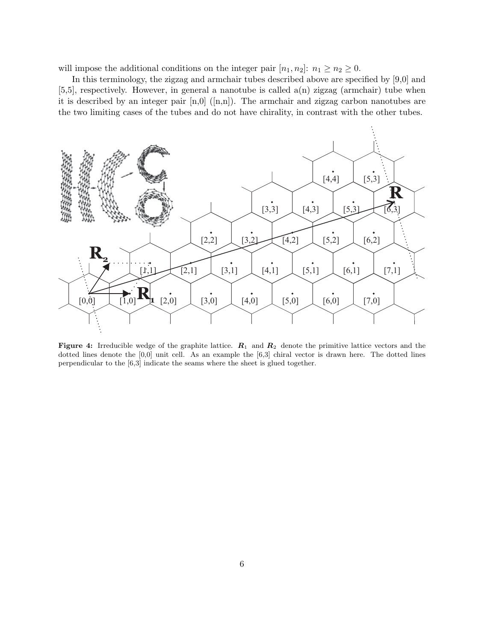will impose the additional conditions on the integer pair  $[n_1, n_2]$ :  $n_1 \ge n_2 \ge 0$ .

In this terminology, the zigzag and armchair tubes described above are specified by [9,0] and [5,5], respectively. However, in general a nanotube is called a(n) zigzag (armchair) tube when it is described by an integer pair  $[n,0]$  ([n,n]). The armchair and zigzag carbon nanotubes are the two limiting cases of the tubes and do not have chirality, in contrast with the other tubes.



**Figure 4:** Irreducible wedge of the graphite lattice. *<sup>R</sup>*<sup>1</sup> and *<sup>R</sup>*<sup>2</sup> denote the primitive lattice vectors and the dotted lines denote the  $[0,0]$  unit cell. As an example the  $[6,3]$  chiral vector is drawn here. The dotted lines perpendicular to the [6,3] indicate the seams where the sheet is glued together.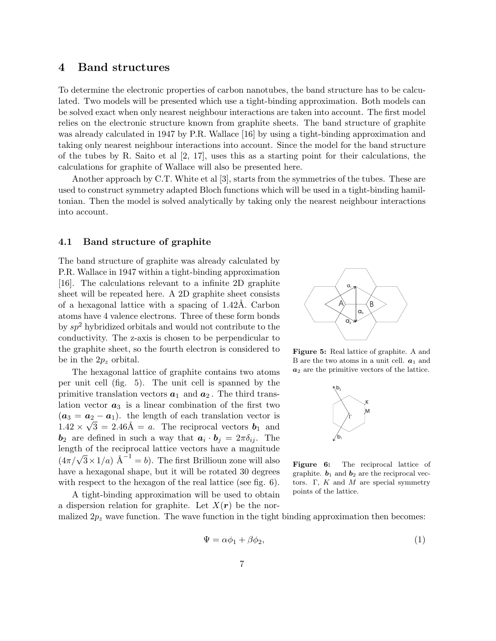### **4 Band structures**

To determine the electronic properties of carbon nanotubes, the band structure has to be calculated. Two models will be presented which use a tight-binding approximation. Both models can be solved exact when only nearest neighbour interactions are taken into account. The first model relies on the electronic structure known from graphite sheets. The band structure of graphite was already calculated in 1947 by P.R. Wallace [16] by using a tight-binding approximation and taking only nearest neighbour interactions into account. Since the model for the band structure of the tubes by R. Saito et al  $\left[2, 17\right]$ , uses this as a starting point for their calculations, the calculations for graphite of Wallace will also be presented here.

Another approach by C.T. White et al [3], starts from the symmetries of the tubes. These are used to construct symmetry adapted Bloch functions which will be used in a tight-binding hamiltonian. Then the model is solved analytically by taking only the nearest neighbour interactions into account.

#### **4.1 Band structure of graphite**

The band structure of graphite was already calculated by P.R. Wallace in 1947 within a tight-binding approximation [16]. The calculations relevant to a infinite 2D graphite sheet will be repeated here. A 2D graphite sheet consists of a hexagonal lattice with a spacing of 1.42Å. Carbon atoms have 4 valence electrons. Three of these form bonds by  $sp^2$  hybridized orbitals and would not contribute to the conductivity. The z-axis is chosen to be perpendicular to the graphite sheet, so the fourth electron is considered to be in the  $2p_z$  orbital.

The hexagonal lattice of graphite contains two atoms per unit cell (fig. 5). The unit cell is spanned by the primitive translation vectors  $a_1$  and  $a_2$ . The third translation vector  $a_3$  is a linear combination of the first two  $(a_3 = a_2 - a_1)$ . the length of each translation vector is  $1.42 \times \sqrt{3} = 2.46\text{\AA} = a$ . The reciprocal vectors  $b_1$  and  **are defined in such a way that**  $**a**<sub>i</sub> \cdot **b**<sub>j</sub> = 2\pi \delta_{ij}$ **. The** length of the reciprocal lattice vectors have a magnitude  $(4\pi/\sqrt{3}\times1/a)$  Å<sup>-1</sup> = b). The first Brillioun zone will also have a hexagonal shape, but it will be rotated 30 degrees with respect to the hexagon of the real lattice (see fig. 6).

A tight-binding approximation will be used to obtain a dispersion relation for graphite. Let  $X(r)$  be the nor-



**Figure 5:** Real lattice of graphite. A and B are the two atoms in a unit cell.  $a_1$  and *a*<sup>2</sup> are the primitive vectors of the lattice.



**Figure 6:** The reciprocal lattice of graphite.  $b_1$  and  $b_2$  are the reciprocal vectors. Γ, *K* and *M* are special symmetry points of the lattice.

malized  $2p_z$  wave function. The wave function in the tight binding approximation then becomes:

$$
\Psi = \alpha \phi_1 + \beta \phi_2,\tag{1}
$$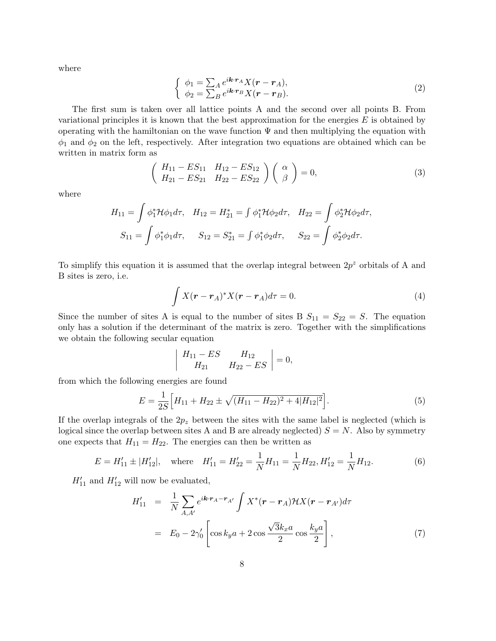where

$$
\begin{cases}\n\phi_1 = \sum_A e^{i\mathbf{k} \cdot \mathbf{r}_A} X(\mathbf{r} - \mathbf{r}_A), \\
\phi_2 = \sum_B e^{i\mathbf{k} \cdot \mathbf{r}_B} X(\mathbf{r} - \mathbf{r}_B).\n\end{cases}
$$
\n(2)

The first sum is taken over all lattice points A and the second over all points B. From variational principles it is known that the best approximation for the energies  $E$  is obtained by operating with the hamiltonian on the wave function  $\Psi$  and then multiplying the equation with  $\phi_1$  and  $\phi_2$  on the left, respectively. After integration two equations are obtained which can be written in matrix form as

$$
\begin{pmatrix} H_{11} - ES_{11} & H_{12} - ES_{12} \ H_{21} - ES_{21} & H_{22} - ES_{22} \end{pmatrix} \begin{pmatrix} \alpha \\ \beta \end{pmatrix} = 0, \tag{3}
$$

where

$$
H_{11} = \int \phi_1^* \mathcal{H} \phi_1 d\tau, \quad H_{12} = H_{21}^* = \int \phi_1^* \mathcal{H} \phi_2 d\tau, \quad H_{22} = \int \phi_2^* \mathcal{H} \phi_2 d\tau,
$$

$$
S_{11} = \int \phi_1^* \phi_1 d\tau, \quad S_{12} = S_{21}^* = \int \phi_1^* \phi_2 d\tau, \quad S_{22} = \int \phi_2^* \phi_2 d\tau.
$$

To simplify this equation it is assumed that the overlap integral between  $2p^z$  orbitals of A and B sites is zero, i.e.

$$
\int X(\mathbf{r} - \mathbf{r}_A)^* X(\mathbf{r} - \mathbf{r}_A) d\tau = 0.
$$
\n(4)

Since the number of sites A is equal to the number of sites B  $S_{11} = S_{22} = S$ . The equation only has a solution if the determinant of the matrix is zero. Together with the simplifications we obtain the following secular equation

$$
\left| \begin{array}{cc} H_{11} - ES & H_{12} \\ H_{21} & H_{22} - ES \end{array} \right| = 0,
$$

from which the following energies are found

$$
E = \frac{1}{2S} \Big[ H_{11} + H_{22} \pm \sqrt{(H_{11} - H_{22})^2 + 4|H_{12}|^2} \Big]. \tag{5}
$$

If the overlap integrals of the  $2p<sub>z</sub>$  between the sites with the same label is neglected (which is logical since the overlap between sites A and B are already neglected)  $S = N$ . Also by symmetry one expects that  $H_{11} = H_{22}$ . The energies can then be written as

$$
E = H'_{11} \pm |H'_{12}|, \quad \text{where} \quad H'_{11} = H'_{22} = \frac{1}{N} H_{11} = \frac{1}{N} H_{22}, H'_{12} = \frac{1}{N} H_{12}.
$$
 (6)

 $H'_{11}$  and  $H'_{12}$  will now be evaluated,

$$
H'_{11} = \frac{1}{N} \sum_{A,A'} e^{i\mathbf{k} \cdot \mathbf{r}_A - \mathbf{r}_{A'}} \int X^*(\mathbf{r} - \mathbf{r}_A) \mathcal{H} X(\mathbf{r} - \mathbf{r}_{A'}) d\tau
$$
  
=  $E_0 - 2\gamma'_0 \left[ \cos k_y a + 2 \cos \frac{\sqrt{3}k_x a}{2} \cos \frac{k_y a}{2} \right],$  (7)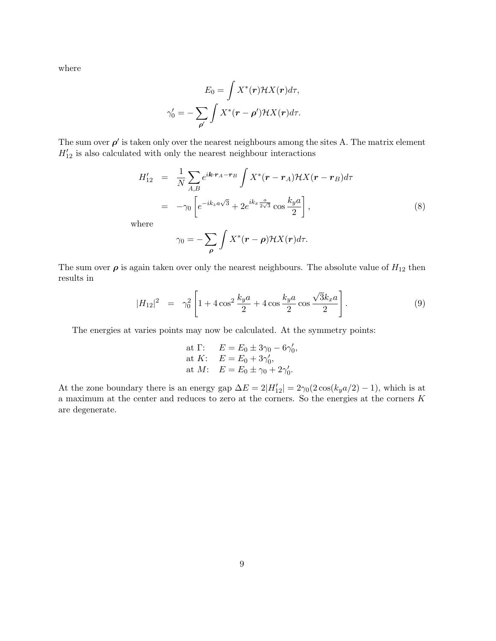where

$$
E_0 = \int X^*(\mathbf{r}) \mathcal{H} X(\mathbf{r}) d\tau,
$$

$$
\gamma'_0 = -\sum_{\mathbf{\rho}'} \int X^*(\mathbf{r} - \mathbf{\rho}') \mathcal{H} X(\mathbf{r}) d\tau.
$$

The sum over  $\rho'$  is taken only over the nearest neighbours among the sites A. The matrix element  $H'_{12}$  is also calculated with only the nearest neighbour interactions

$$
H'_{12} = \frac{1}{N} \sum_{A,B} e^{i\mathbf{k} \cdot \mathbf{r}_A - \mathbf{r}_B} \int X^*(\mathbf{r} - \mathbf{r}_A) \mathcal{H} X(\mathbf{r} - \mathbf{r}_B) d\tau
$$
  

$$
= -\gamma_0 \left[ e^{-ik_z a\sqrt{3}} + 2e^{ik_x \frac{a}{2\sqrt{3}}} \cos \frac{k_y a}{2} \right],
$$
 (8)

where

$$
\gamma_0 = -\sum_{\rho} \int X^*(\mathbf{r} - \rho) \mathcal{H} X(\mathbf{r}) d\tau.
$$

The sum over  $\rho$  is again taken over only the nearest neighbours. The absolute value of  $H_{12}$  then results in

$$
|H_{12}|^2 = \gamma_0^2 \left[ 1 + 4 \cos^2 \frac{k_y a}{2} + 4 \cos \frac{k_y a}{2} \cos \frac{\sqrt{3}k_x a}{2} \right].
$$
 (9)

The energies at varies points may now be calculated. At the symmetry points:

at 
$$
\Gamma
$$
:  $E = E_0 \pm 3\gamma_0 - 6\gamma'_0$ ,  
at  $K$ :  $E = E_0 + 3\gamma'_0$ ,  
at  $M$ :  $E = E_0 \pm \gamma_0 + 2\gamma'_0$ .

At the zone boundary there is an energy gap  $\Delta E = 2|H'_{12}| = 2\gamma_0(2\cos(k_y a/2) - 1)$ , which is at a maximum at the center and reduces to zero at the corners. So the energies at the corners K are degenerate.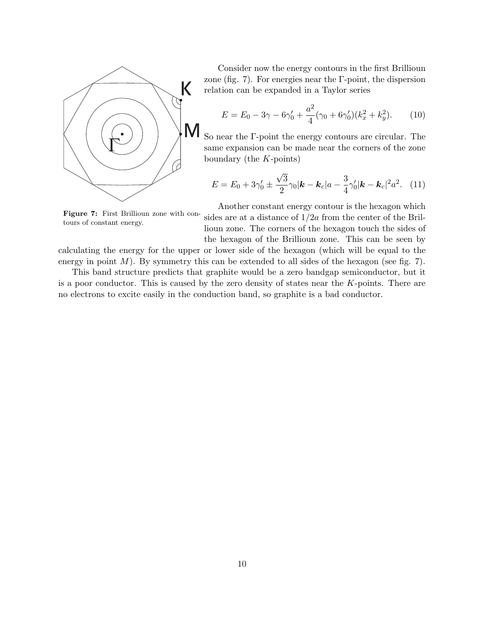

Consider now the energy contours in the first Brillioun zone (fig. 7). For energies near the  $\Gamma$ -point, the dispersion relation can be expanded in a Taylor series

$$
E = E_0 - 3\gamma - 6\gamma'_0 + \frac{a^2}{4}(\gamma_0 + 6\gamma'_0)(k_x^2 + k_y^2). \tag{10}
$$

So near the Γ-point the energy contours are circular. The same expansion can be made near the corners of the zone boundary (the  $K$ -points)

$$
E = E_0 + 3\gamma'_0 \pm \frac{\sqrt{3}}{2}\gamma_0|\mathbf{k} - \mathbf{k}_c|a - \frac{3}{4}\gamma'_0|\mathbf{k} - \mathbf{k}_c|^2 a^2. \tag{11}
$$

**Figure 7:** First Brillioun zone with contours of constant energy.

Another constant energy contour is the hexagon which sides are at a distance of  $1/2a$  from the center of the Brillioun zone. The corners of the hexagon touch the sides of the hexagon of the Brillioun zone. This can be seen by

calculating the energy for the upper or lower side of the hexagon (which will be equal to the energy in point  $M$ ). By symmetry this can be extended to all sides of the hexagon (see fig. 7).

This band structure predicts that graphite would be a zero bandgap semiconductor, but it is a poor conductor. This is caused by the zero density of states near the  $K$ -points. There are no electrons to excite easily in the conduction band, so graphite is a bad conductor.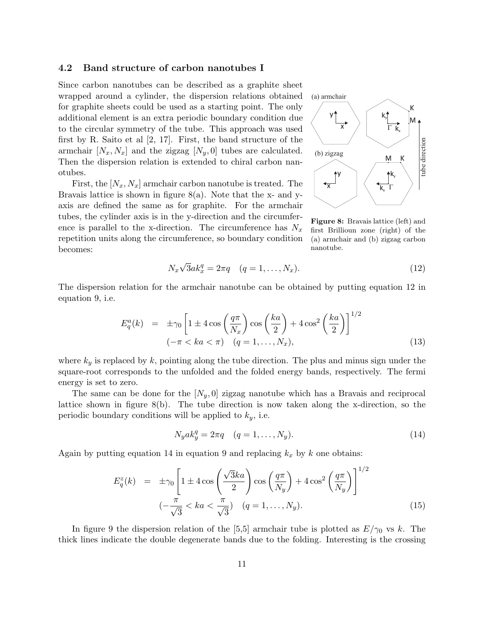#### **4.2 Band structure of carbon nanotubes I**

Since carbon nanotubes can be described as a graphite sheet wrapped around a cylinder, the dispersion relations obtained for graphite sheets could be used as a starting point. The only additional element is an extra periodic boundary condition due to the circular symmetry of the tube. This approach was used first by R. Saito et al [2, 17]. First, the band structure of the armchair  $[N_x, N_x]$  and the zigzag  $[N_y, 0]$  tubes are calculated. Then the dispersion relation is extended to chiral carbon nanotubes.

First, the  $[N_x, N_x]$  armchair carbon nanotube is treated. The Bravais lattice is shown in figure  $8(a)$ . Note that the x- and yaxis are defined the same as for graphite. For the armchair tubes, the cylinder axis is in the y-direction and the circumference is parallel to the x-direction. The circumference has  $N_x$ repetition units along the circumference, so boundary condition becomes:



**Figure 8:** Bravais lattice (left) and first Brillioun zone (right) of the (a) armchair and (b) zigzag carbon nanotube.

$$
N_x \sqrt{3} a k_x^q = 2\pi q \quad (q = 1, \dots, N_x). \tag{12}
$$

The dispersion relation for the armchair nanotube can be obtained by putting equation 12 in equation 9, i.e.

$$
E_q^a(k) = \pm \gamma_0 \left[ 1 \pm 4 \cos \left( \frac{q \pi}{N_x} \right) \cos \left( \frac{ka}{2} \right) + 4 \cos^2 \left( \frac{ka}{2} \right) \right]^{1/2}
$$
  

$$
(-\pi < ka < \pi) \quad (q = 1, \dots, N_x), \tag{13}
$$

where  $k_y$  is replaced by k, pointing along the tube direction. The plus and minus sign under the square-root corresponds to the unfolded and the folded energy bands, respectively. The fermi energy is set to zero.

The same can be done for the  $[N_y, 0]$  zigzag nanotube which has a Bravais and reciprocal lattice shown in figure 8(b). The tube direction is now taken along the x-direction, so the periodic boundary conditions will be applied to  $k_y$ , i.e.

$$
N_y a k_y^q = 2\pi q \quad (q = 1, \dots, N_y). \tag{14}
$$

Again by putting equation 14 in equation 9 and replacing  $k_x$  by k one obtains:

$$
E_q^z(k) = \pm \gamma_0 \left[ 1 \pm 4 \cos \left( \frac{\sqrt{3}ka}{2} \right) \cos \left( \frac{q\pi}{N_y} \right) + 4 \cos^2 \left( \frac{q\pi}{N_y} \right) \right]^{1/2}
$$

$$
(-\frac{\pi}{\sqrt{3}} < ka < \frac{\pi}{\sqrt{3}}) \quad (q = 1, \dots, N_y). \tag{15}
$$

In figure 9 the dispersion relation of the [5,5] armchair tube is plotted as  $E/\gamma_0$  vs k. The thick lines indicate the double degenerate bands due to the folding. Interesting is the crossing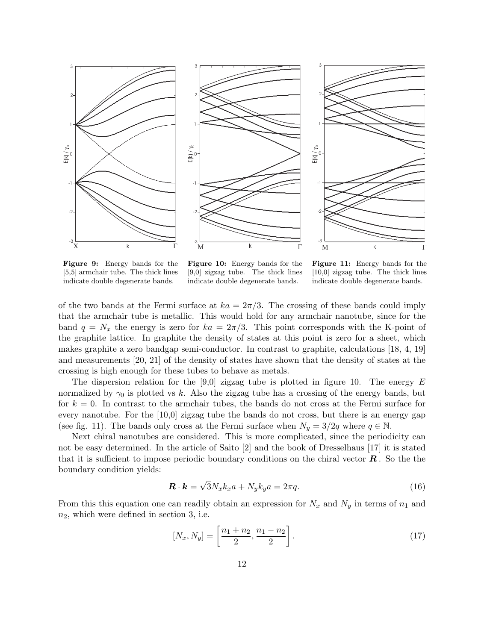





**Figure 9:** Energy bands for the [5,5] armchair tube. The thick lines indicate double degenerate bands.

**Figure 10:** Energy bands for the [9,0] zigzag tube. The thick lines indicate double degenerate bands.

**Figure 11:** Energy bands for the [10,0] zigzag tube. The thick lines indicate double degenerate bands.

of the two bands at the Fermi surface at  $ka = 2\pi/3$ . The crossing of these bands could imply that the armchair tube is metallic. This would hold for any armchair nanotube, since for the band  $q = N_x$  the energy is zero for  $ka = 2\pi/3$ . This point corresponds with the K-point of the graphite lattice. In graphite the density of states at this point is zero for a sheet, which makes graphite a zero bandgap semi-conductor. In contrast to graphite, calculations [18, 4, 19] and measurements [20, 21] of the density of states have shown that the density of states at the crossing is high enough for these tubes to behave as metals.

The dispersion relation for the [9,0] zigzag tube is plotted in figure 10. The energy  $E$ normalized by  $\gamma_0$  is plotted vs k. Also the zigzag tube has a crossing of the energy bands, but for  $k = 0$ . In contrast to the armchair tubes, the bands do not cross at the Fermi surface for every nanotube. For the [10,0] zigzag tube the bands do not cross, but there is an energy gap (see fig. 11). The bands only cross at the Fermi surface when  $N_y = 3/2q$  where  $q \in \mathbb{N}$ .

Next chiral nanotubes are considered. This is more complicated, since the periodicity can not be easy determined. In the article of Saito [2] and the book of Dresselhaus [17] it is stated that it is sufficient to impose periodic boundary conditions on the chiral vector *R* . So the the boundary condition yields:

$$
\mathbf{R} \cdot \mathbf{k} = \sqrt{3} N_x k_x a + N_y k_y a = 2\pi q. \tag{16}
$$

From this this equation one can readily obtain an expression for  $N_x$  and  $N_y$  in terms of  $n_1$  and  $n_2$ , which were defined in section 3, i.e.

$$
[N_x, N_y] = \left[\frac{n_1 + n_2}{2}, \frac{n_1 - n_2}{2}\right].
$$
 (17)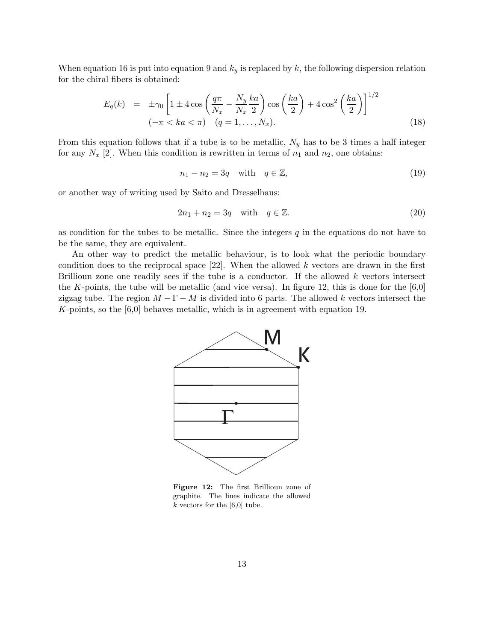When equation 16 is put into equation 9 and  $k_y$  is replaced by k, the following dispersion relation for the chiral fibers is obtained:

$$
E_q(k) = \pm \gamma_0 \left[ 1 \pm 4 \cos \left( \frac{q \pi}{N_x} - \frac{N_y}{N_x} \frac{ka}{2} \right) \cos \left( \frac{ka}{2} \right) + 4 \cos^2 \left( \frac{ka}{2} \right) \right]^{1/2}
$$
  

$$
(-\pi < ka < \pi) \quad (q = 1, \dots, N_x).
$$
 (18)

From this equation follows that if a tube is to be metallic,  $N_y$  has to be 3 times a half integer for any  $N_x$  [2]. When this condition is rewritten in terms of  $n_1$  and  $n_2$ , one obtains:

$$
n_1 - n_2 = 3q \quad \text{with} \quad q \in \mathbb{Z},\tag{19}
$$

or another way of writing used by Saito and Dresselhaus:

$$
2n_1 + n_2 = 3q \quad \text{with} \quad q \in \mathbb{Z}.\tag{20}
$$

as condition for the tubes to be metallic. Since the integers  $q$  in the equations do not have to be the same, they are equivalent.

An other way to predict the metallic behaviour, is to look what the periodic boundary condition does to the reciprocal space  $[22]$ . When the allowed k vectors are drawn in the first Brillioun zone one readily sees if the tube is a conductor. If the allowed  $k$  vectors intersect the K-points, the tube will be metallic (and vice versa). In figure 12, this is done for the  $[6,0]$ zigzag tube. The region  $M - \Gamma - M$  is divided into 6 parts. The allowed k vectors intersect the K-points, so the  $[6,0]$  behaves metallic, which is in agreement with equation 19.



**Figure 12:** The first Brillioun zone of graphite. The lines indicate the allowed  $k$  vectors for the [6,0] tube.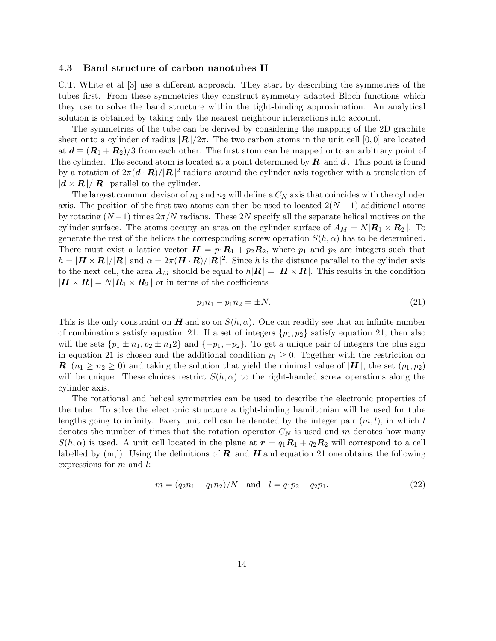#### **4.3 Band structure of carbon nanotubes II**

C.T. White et al [3] use a different approach. They start by describing the symmetries of the tubes first. From these symmetries they construct symmetry adapted Bloch functions which they use to solve the band structure within the tight-binding approximation. An analytical solution is obtained by taking only the nearest neighbour interactions into account.

The symmetries of the tube can be derived by considering the mapping of the 2D graphite sheet onto a cylinder of radius  $|\mathbf{R}|/2\pi$ . The two carbon atoms in the unit cell [0, 0] are located at  $d \equiv (R_1 + R_2)/3$  from each other. The first atom can be mapped onto an arbitrary point of the cylinder. The second atom is located at a point determined by *R* and *d* . This point is found by a rotation of  $2\pi(\mathbf{d}\cdot\mathbf{R})/|\mathbf{R}|^2$  radians around the cylinder axis together with a translation of  $|\mathbf{d} \times \mathbf{R}|/|\mathbf{R}|$  parallel to the cylinder.

The largest common devisor of  $n_1$  and  $n_2$  will define a  $C_N$  axis that coincides with the cylinder axis. The position of the first two atoms can then be used to located  $2(N-1)$  additional atoms by rotating  $(N-1)$  times  $2\pi/N$  radians. These 2N specify all the separate helical motives on the cylinder surface. The atoms occupy an area on the cylinder surface of  $A_M = N |{\bf R}_1 \times {\bf R}_2|$ . To generate the rest of the helices the corresponding screw operation  $S(h, \alpha)$  has to be determined. There must exist a lattice vector  $H = p_1 R_1 + p_2 R_2$ , where  $p_1$  and  $p_2$  are integers such that  $h = |\mathbf{H} \times \mathbf{R}| / |\mathbf{R}|$  and  $\alpha = 2\pi (\mathbf{H} \cdot \mathbf{R}) / |\mathbf{R}|^2$ . Since h is the distance parallel to the cylinder axis to the next cell, the area  $A_M$  should be equal to  $h|\mathbf{R}| = |\mathbf{H} \times \mathbf{R}|$ . This results in the condition  $|\mathbf{H} \times \mathbf{R}| = N |\mathbf{R}_1 \times \mathbf{R}_2|$  or in terms of the coefficients

$$
p_2 n_1 - p_1 n_2 = \pm N. \tag{21}
$$

This is the only constraint on *H* and so on  $S(h, \alpha)$ . One can readily see that an infinite number of combinations satisfy equation 21. If a set of integers  $\{p_1, p_2\}$  satisfy equation 21, then also will the sets  $\{p_1 \pm n_1, p_2 \pm n_12\}$  and  $\{-p_1, -p_2\}$ . To get a unique pair of integers the plus sign in equation 21 is chosen and the additional condition  $p_1 \geq 0$ . Together with the restriction on *R* ( $n_1 \ge n_2 \ge 0$ ) and taking the solution that yield the minimal value of |*H* |, the set ( $p_1, p_2$ ) will be unique. These choices restrict  $S(h, \alpha)$  to the right-handed screw operations along the cylinder axis.

The rotational and helical symmetries can be used to describe the electronic properties of the tube. To solve the electronic structure a tight-binding hamiltonian will be used for tube lengths going to infinity. Every unit cell can be denoted by the integer pair  $(m, l)$ , in which l denotes the number of times that the rotation operator  $C_N$  is used and m denotes how many  $S(h, \alpha)$  is used. A unit cell located in the plane at  $r = q_1 R_1 + q_2 R_2$  will correspond to a cell labelled by  $(m,l)$ . Using the definitions of  $R$  and  $H$  and equation 21 one obtains the following expressions for  $m$  and  $l$ :

$$
m = (q_2 n_1 - q_1 n_2)/N \quad \text{and} \quad l = q_1 p_2 - q_2 p_1. \tag{22}
$$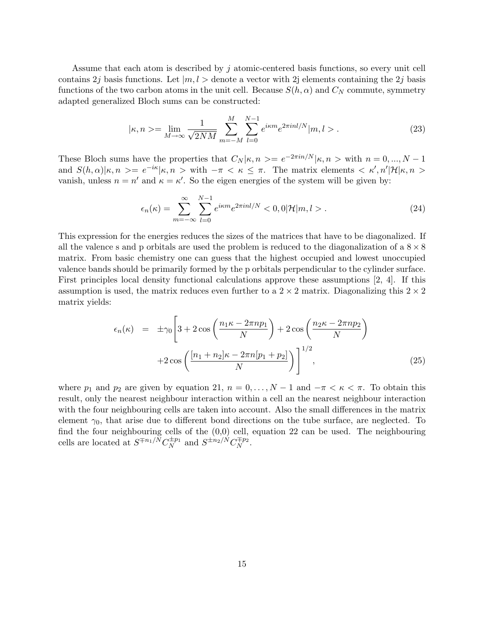Assume that each atom is described by j atomic-centered basis functions, so every unit cell contains 2j basis functions. Let  $|m, l>$  denote a vector with 2j elements containing the 2j basis functions of the two carbon atoms in the unit cell. Because  $S(h, \alpha)$  and  $C_N$  commute, symmetry adapted generalized Bloch sums can be constructed:

$$
|\kappa, n\rangle = \lim_{M \to \infty} \frac{1}{\sqrt{2NM}} \sum_{m=-M}^{M} \sum_{l=0}^{N-1} e^{i\kappa m} e^{2\pi i n l/N} |m, l\rangle. \tag{23}
$$

These Bloch sums have the properties that  $C_N | \kappa, n \rangle = e^{-2\pi i n/N} | \kappa, n \rangle$  with  $n = 0, ..., N - 1$ and  $S(h,\alpha)|\kappa,n\rangle = e^{-i\kappa}|\kappa,n\rangle$  with  $-\pi \langle \kappa \leq \pi$ . The matrix elements  $\langle \kappa',n'|\mathcal{H}|\kappa,n\rangle$ vanish, unless  $n = n'$  and  $\kappa = \kappa'$ . So the eigen energies of the system will be given by:

$$
\epsilon_n(\kappa) = \sum_{m=-\infty}^{\infty} \sum_{l=0}^{N-1} e^{i\kappa m} e^{2\pi i n l/N} < 0, \quad \mathcal{O}(\mathcal{H}|m, l > \mathcal{C}(\mathcal{H})) \tag{24}
$$

This expression for the energies reduces the sizes of the matrices that have to be diagonalized. If all the valence s and p orbitals are used the problem is reduced to the diagonalization of a  $8 \times 8$ matrix. From basic chemistry one can guess that the highest occupied and lowest unoccupied valence bands should be primarily formed by the p orbitals perpendicular to the cylinder surface. First principles local density functional calculations approve these assumptions [2, 4]. If this assumption is used, the matrix reduces even further to a  $2 \times 2$  matrix. Diagonalizing this  $2 \times 2$ matrix yields:

$$
\epsilon_n(\kappa) = \pm \gamma_0 \left[ 3 + 2 \cos \left( \frac{n_1 \kappa - 2 \pi n p_1}{N} \right) + 2 \cos \left( \frac{n_2 \kappa - 2 \pi n p_2}{N} \right) + 2 \cos \left( \frac{\left[ n_1 + n_2 \right] \kappa - 2 \pi n \left[ p_1 + p_2 \right]}{N} \right) \right]^{1/2}, \tag{25}
$$

where  $p_1$  and  $p_2$  are given by equation 21,  $n = 0, \ldots, N-1$  and  $-\pi < \kappa < \pi$ . To obtain this result, only the nearest neighbour interaction within a cell an the nearest neighbour interaction with the four neighbouring cells are taken into account. Also the small differences in the matrix element  $\gamma_0$ , that arise due to different bond directions on the tube surface, are neglected. To find the four neighbouring cells of the (0,0) cell, equation 22 can be used. The neighbouring cells are located at  $S^{\mp n_1/N}C_N^{\pm p_1}$  and  $S^{\pm n_2/N}C_N^{\mp p_2}$ .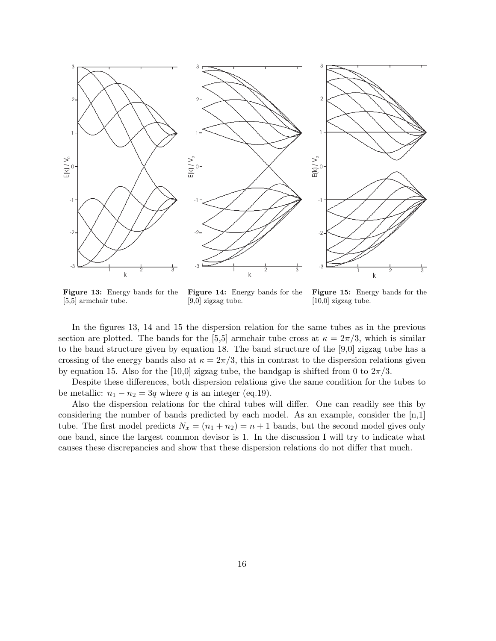

**Figure 13:** Energy bands for the [5,5] armchair tube.

**Figure 14:** Energy bands for the [9,0] zigzag tube.

**Figure 15:** Energy bands for the [10,0] zigzag tube.

In the figures 13, 14 and 15 the dispersion relation for the same tubes as in the previous section are plotted. The bands for the [5,5] armchair tube cross at  $\kappa = 2\pi/3$ , which is similar to the band structure given by equation 18. The band structure of the [9,0] zigzag tube has a crossing of the energy bands also at  $\kappa = 2\pi/3$ , this in contrast to the dispersion relations given by equation 15. Also for the [10,0] zigzag tube, the bandgap is shifted from 0 to  $2\pi/3$ .

Despite these differences, both dispersion relations give the same condition for the tubes to be metallic:  $n_1 - n_2 = 3q$  where q is an integer (eq.19).

Also the dispersion relations for the chiral tubes will differ. One can readily see this by considering the number of bands predicted by each model. As an example, consider the  $[n,1]$ tube. The first model predicts  $N_x = (n_1 + n_2) = n + 1$  bands, but the second model gives only one band, since the largest common devisor is 1. In the discussion I will try to indicate what causes these discrepancies and show that these dispersion relations do not differ that much.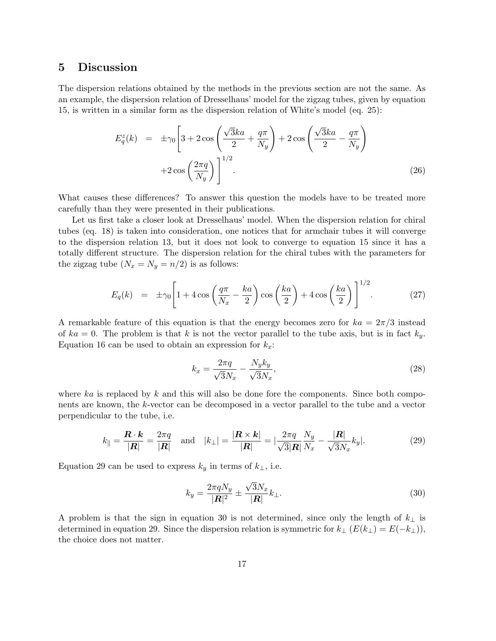## **5 Discussion**

The dispersion relations obtained by the methods in the previous section are not the same. As an example, the dispersion relation of Dresselhaus' model for the zigzag tubes, given by equation 15, is written in a similar form as the dispersion relation of White's model (eq. 25):

$$
E_q^z(k) = \pm \gamma_0 \left[ 3 + 2 \cos \left( \frac{\sqrt{3}ka}{2} + \frac{q\pi}{N_y} \right) + 2 \cos \left( \frac{\sqrt{3}ka}{2} - \frac{q\pi}{N_y} \right) + 2 \cos \left( \frac{2\pi q}{N_y} \right) \right]^{1/2}.
$$
\n(26)

What causes these differences? To answer this question the models have to be treated more carefully than they were presented in their publications.

Let us first take a closer look at Dresselhaus' model. When the dispersion relation for chiral tubes (eq. 18) is taken into consideration, one notices that for armchair tubes it will converge to the dispersion relation 13, but it does not look to converge to equation 15 since it has a totally different structure. The dispersion relation for the chiral tubes with the parameters for the zigzag tube  $(N_x = N_y = n/2)$  is as follows:

$$
E_q(k) = \pm \gamma_0 \left[ 1 + 4 \cos \left( \frac{q \pi}{N_x} - \frac{ka}{2} \right) \cos \left( \frac{ka}{2} \right) + 4 \cos \left( \frac{ka}{2} \right) \right]^{1/2} . \tag{27}
$$

A remarkable feature of this equation is that the energy becomes zero for  $ka = 2\pi/3$  instead of  $ka = 0$ . The problem is that k is not the vector parallel to the tube axis, but is in fact  $k_y$ . Equation 16 can be used to obtain an expression for  $k_x$ :

$$
k_x = \frac{2\pi q}{\sqrt{3}N_x} - \frac{N_y k_y}{\sqrt{3}N_x},\tag{28}
$$

where ka is replaced by k and this will also be done fore the components. Since both components are known, the k-vector can be decomposed in a vector parallel to the tube and a vector perpendicular to the tube, i.e.

$$
k_{\parallel} = \frac{\boldsymbol{R} \cdot \boldsymbol{k}}{|\boldsymbol{R}|} = \frac{2\pi q}{|\boldsymbol{R}|} \quad \text{and} \quad |k_{\perp}| = \frac{|\boldsymbol{R} \times \boldsymbol{k}|}{|\boldsymbol{R}|} = \left| \frac{2\pi q}{\sqrt{3} |\boldsymbol{R}|} \frac{N_y}{N_x} - \frac{|\boldsymbol{R}|}{\sqrt{3} N_x} k_y \right|.
$$
 (29)

Equation 29 can be used to express  $k_y$  in terms of  $k_{\perp}$ , i.e.

$$
k_y = \frac{2\pi q N_y}{|\mathbf{R}|^2} \pm \frac{\sqrt{3}N_x}{|\mathbf{R}|} k_\perp.
$$
\n(30)

A problem is that the sign in equation 30 is not determined, since only the length of  $k_{\perp}$  is determined in equation 29. Since the dispersion relation is symmetric for  $k_{\perp}$  ( $E(k_{\perp}) = E(-k_{\perp})$ ), the choice does not matter.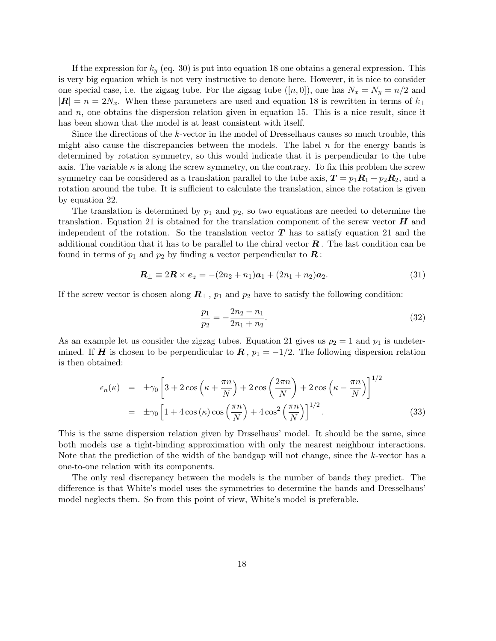If the expression for  $k_y$  (eq. 30) is put into equation 18 one obtains a general expression. This is very big equation which is not very instructive to denote here. However, it is nice to consider one special case, i.e. the zigzag tube. For the zigzag tube  $([n, 0])$ , one has  $N_x = N_y = n/2$  and  $|\mathbf{R}| = n = 2N_x$ . When these parameters are used and equation 18 is rewritten in terms of  $k_{\perp}$ and  $n$ , one obtains the dispersion relation given in equation 15. This is a nice result, since it has been shown that the model is at least consistent with itself.

Since the directions of the k-vector in the model of Dresselhaus causes so much trouble, this might also cause the discrepancies between the models. The label  $n$  for the energy bands is determined by rotation symmetry, so this would indicate that it is perpendicular to the tube axis. The variable  $\kappa$  is along the screw symmetry, on the contrary. To fix this problem the screw symmetry can be considered as a translation parallel to the tube axis,  $\mathbf{T} = p_1 \mathbf{R}_1 + p_2 \mathbf{R}_2$ , and a rotation around the tube. It is sufficient to calculate the translation, since the rotation is given by equation 22.

The translation is determined by  $p_1$  and  $p_2$ , so two equations are needed to determine the translation. Equation 21 is obtained for the translation component of the screw vector  $H$  and independent of the rotation. So the translation vector *T* has to satisfy equation 21 and the additional condition that it has to be parallel to the chiral vector *R* . The last condition can be found in terms of  $p_1$  and  $p_2$  by finding a vector perpendicular to  $\mathbf{R}$ :

$$
\mathbf{R}_{\perp} \equiv 2\mathbf{R} \times \mathbf{e}_z = -(2n_2 + n_1)\mathbf{a}_1 + (2n_1 + n_2)\mathbf{a}_2. \tag{31}
$$

If the screw vector is chosen along  $\mathbf{R}_{\perp}$ ,  $p_1$  and  $p_2$  have to satisfy the following condition:

$$
\frac{p_1}{p_2} = -\frac{2n_2 - n_1}{2n_1 + n_2}.\tag{32}
$$

As an example let us consider the zigzag tubes. Equation 21 gives us  $p_2 = 1$  and  $p_1$  is undetermined. If *H* is chosen to be perpendicular to  $\mathbf{R}$ ,  $p_1 = -1/2$ . The following dispersion relation is then obtained:

$$
\epsilon_n(\kappa) = \pm \gamma_0 \left[ 3 + 2 \cos \left( \kappa + \frac{\pi n}{N} \right) + 2 \cos \left( \frac{2\pi n}{N} \right) + 2 \cos \left( \kappa - \frac{\pi n}{N} \right) \right]^{1/2}
$$

$$
= \pm \gamma_0 \left[ 1 + 4 \cos \left( \kappa \right) \cos \left( \frac{\pi n}{N} \right) + 4 \cos^2 \left( \frac{\pi n}{N} \right) \right]^{1/2} . \tag{33}
$$

This is the same dispersion relation given by Drsselhaus' model. It should be the same, since both models use a tight-binding approximation with only the nearest neighbour interactions. Note that the prediction of the width of the bandgap will not change, since the k-vector has a one-to-one relation with its components.

The only real discrepancy between the models is the number of bands they predict. The difference is that White's model uses the symmetries to determine the bands and Dresselhaus' model neglects them. So from this point of view, White's model is preferable.